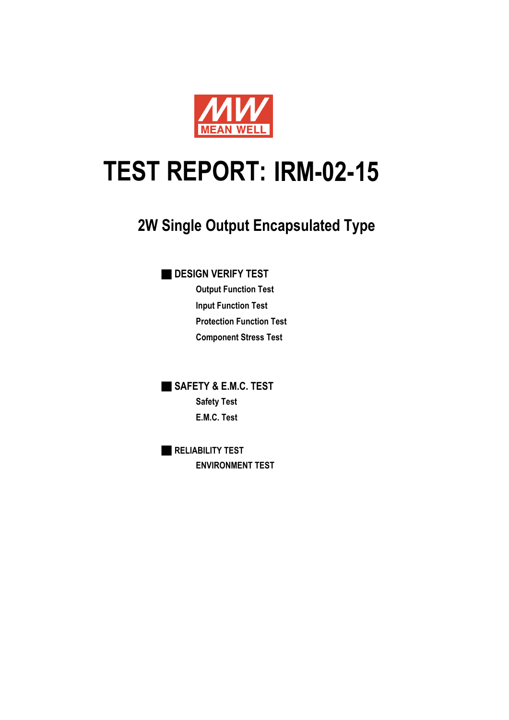

# **IRM-02-15 TEST REPORT:**

## **2W Single Output Encapsulated Type**

■ **DESIGN VERIFY TEST**

**Output Function Test Input Function Test Protection Function Test Component Stress Test**

■ **SAFETY & E.M.C. TEST Safety Test E.M.C. Test**

■ **RELIABILITY TEST ENVIRONMENT TEST**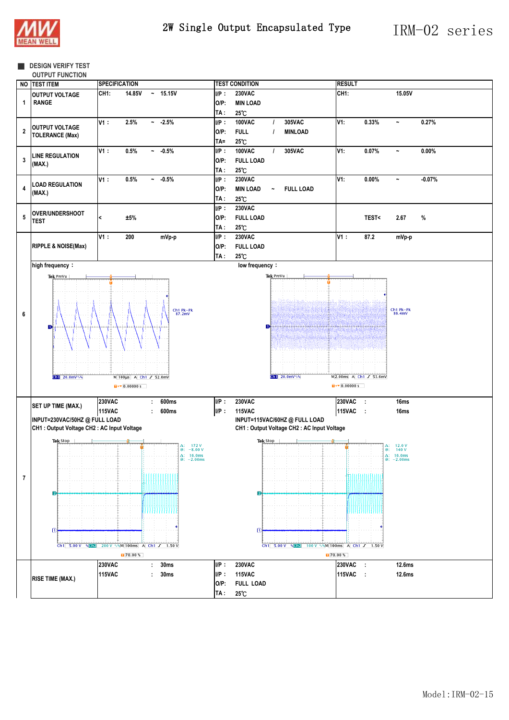

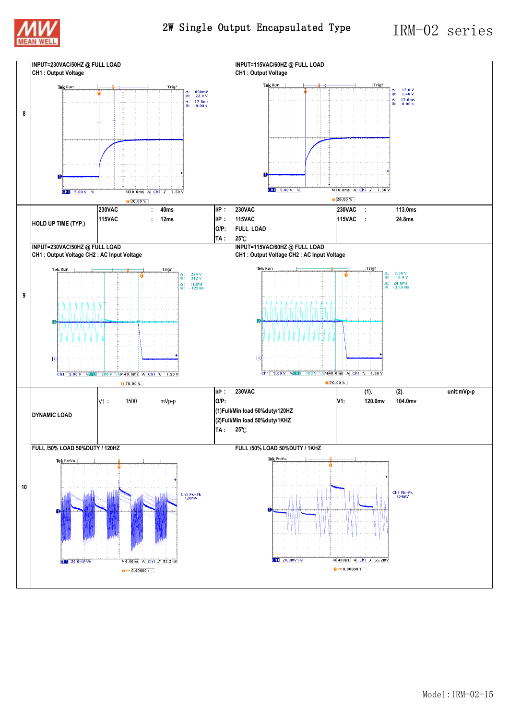



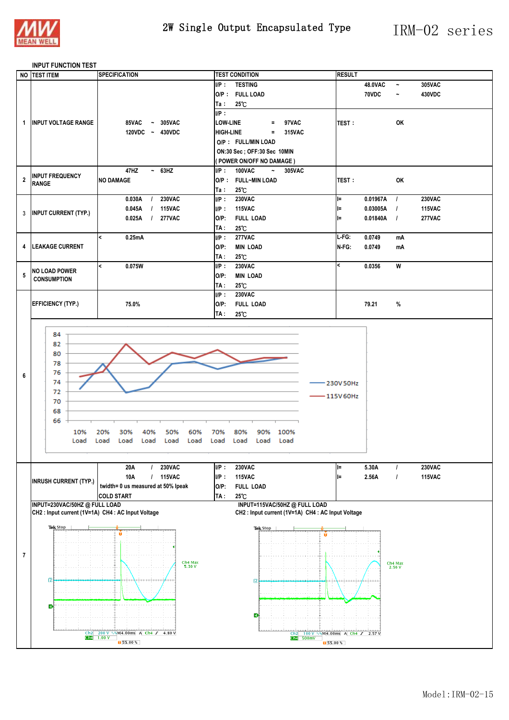

#### **INPUT FUNCTION TEST**

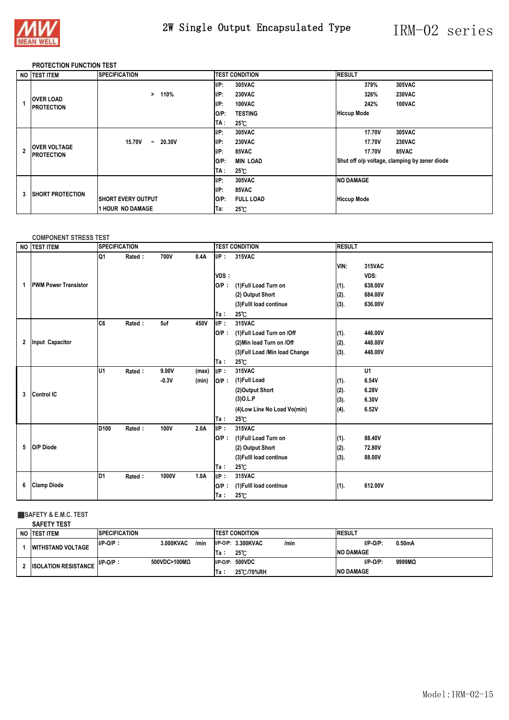

### 2W Single Output Encapsulated Type IRM-02 series

#### **PROTECTION FUNCTION TEST**

|                         | NO TEST ITEM                             | <b>SPECIFICATION</b>       | <b>TEST CONDITION</b>       | <b>RESULT</b>                                 |
|-------------------------|------------------------------------------|----------------------------|-----------------------------|-----------------------------------------------|
|                         |                                          |                            | $I/P$ :<br><b>305VAC</b>    | 379%<br>305VAC                                |
|                         |                                          | 110%<br>>                  | $I/P$ :<br><b>230VAC</b>    | <b>230VAC</b><br>326%                         |
|                         | <b>OVER LOAD</b><br><b>IPROTECTION</b>   |                            | $I/P$ :<br>100VAC           | 242%<br>100VAC                                |
|                         |                                          |                            | <b>TESTING</b><br>$O/P$ :   | <b>Hiccup Mode</b>                            |
|                         |                                          |                            | TA :<br>$25^{\circ}$ C      |                                               |
|                         | <b>OVER VOLTAGE</b><br><b>PROTECTION</b> |                            | $I/P$ :<br>305VAC           | 17.70V<br>305VAC                              |
|                         |                                          | 15.70V<br>20.30V<br>$\sim$ | I/P:<br><b>230VAC</b>       | 17.70V<br><b>230VAC</b>                       |
| $\overline{\mathbf{z}}$ |                                          |                            | I/P:<br>85VAC               | <b>17.70V</b><br>85VAC                        |
|                         |                                          |                            | $O/P$ :<br><b>MIN LOAD</b>  | Shut off o/p voltage, clamping by zener diode |
|                         |                                          |                            | TA :<br>$25^{\circ}$ C      |                                               |
| 3                       | <b>ISHORT PROTECTION</b>                 |                            | UP:<br>305VAC               | <b>NO DAMAGE</b>                              |
|                         |                                          |                            | $I/P$ :<br>85VAC            |                                               |
|                         |                                          | <b>ISHORT EVERY OUTPUT</b> | $O/P$ :<br><b>FULL LOAD</b> | <b>Hiccup Mode</b>                            |
|                         |                                          | <b>1 HOUR NO DAMAGE</b>    | $25^{\circ}$ C<br>Ta:       |                                               |

#### **COMPONENT STRESS TEST**

|              | NO TEST ITEM                | <b>SPECIFICATION</b> |        |         |       |         | <b>TEST CONDITION</b>           |      | <b>RESULT</b> |  |  |
|--------------|-----------------------------|----------------------|--------|---------|-------|---------|---------------------------------|------|---------------|--|--|
|              |                             | Q1                   | Rated: | 700V    | 0.4A  | $I/P$ : | 315VAC                          |      |               |  |  |
|              |                             |                      |        |         |       |         |                                 | VIN: | 315VAC        |  |  |
|              |                             |                      |        |         |       | VDS:    |                                 |      | VDS:          |  |  |
| 1            | <b>PWM Power Transistor</b> |                      |        |         |       | $O/P$ : | (1) Full Load Turn on           | (1). | 638.00V       |  |  |
|              |                             |                      |        |         |       |         | (2) Output Short                | (2). | 684.00V       |  |  |
|              |                             |                      |        |         |       |         | (3) Fulll load continue         | (3). | 636.00V       |  |  |
|              |                             |                      |        |         |       | Ta∶     | $25^\circ$ C                    |      |               |  |  |
|              |                             | C <sub>6</sub>       | Rated: | 5uf     | 450V  | UP:     | 315VAC                          |      |               |  |  |
|              |                             |                      |        |         |       | $O/P$ : | (1) Full Load Turn on /Off      | (1). | 446.00V       |  |  |
| $\mathbf{2}$ | <b>Input Capacitor</b>      |                      |        |         |       |         | (2) Min load Turn on /Off       | (2). | 448.00V       |  |  |
|              |                             |                      |        |         |       |         | (3) Full Load / Min load Change | (3). | 448.00V       |  |  |
|              |                             |                      |        |         |       | Ta:     | $25^{\circ}$ C                  |      |               |  |  |
|              |                             | U <sub>1</sub>       | Rated: | 9.00V   | (max) | $I/P$ : | 315VAC                          |      | U1            |  |  |
|              |                             |                      |        | $-0.3V$ | (min) | $O/P$ : | (1)Full Load                    | (1). | 6.54V         |  |  |
| 3            | Control IC                  |                      |        |         |       |         | (2) Output Short                | (2). | 6.28V         |  |  |
|              |                             |                      |        |         |       |         | $(3)$ O.L.P                     | (3). | 6.30V         |  |  |
|              |                             |                      |        |         |       |         | (4) Low Line No Load Vo(min)    | (4). | 6.52V         |  |  |
|              |                             |                      |        |         |       | Ta∶     | 25°C                            |      |               |  |  |
|              |                             | D <sub>100</sub>     | Rated: | 100V    | 2.0A  | IP:     | 315VAC                          |      |               |  |  |
|              |                             |                      |        |         |       | $O/P$ : | (1) Full Load Turn on           | (1). | 88.40V        |  |  |
| 5            | O/P Diode                   |                      |        |         |       |         | (2) Output Short                | (2). | 72.80V        |  |  |
|              |                             |                      |        |         |       |         | (3) Fulll load continue         | (3). | 88.00V        |  |  |
|              |                             |                      |        |         |       | Ta:     | 25°C                            |      |               |  |  |
|              |                             | ID1                  | Rated: | 1000V   | 1.0A  | $I/P$ : | 315VAC                          |      |               |  |  |
| 6            | <b>Clamp Diode</b>          |                      |        |         |       | $O/P$ : | (1) Fulll load continue         | (1). | 612.00V       |  |  |
|              |                             |                      |        |         |       | Ta∶     | $25^\circ$ C                    |      |               |  |  |

#### ■**SAFETY & E.M.C. TEST SAFETY TEST**

| SAFEIT IESI                 |                      |                   |             |                              |                   |        |
|-----------------------------|----------------------|-------------------|-------------|------------------------------|-------------------|--------|
| NO <b>ITEST ITEM</b>        | <b>SPECIFICATION</b> |                   |             | <b>TEST CONDITION</b>        | <b>RESULT</b>     |        |
| <b>WITHSTAND VOLTAGE</b>    | $I/P-O/P$ :          | 3.000KVAC<br>/min |             | $I/P-O/P: 3.300KVAC$<br>/min | $I/P-O/P$ :       | 0.50mA |
|                             |                      |                   | Ta:         | $25^\circ$ C                 | <b>INO DAMAGE</b> |        |
| <b>ISOLATION RESISTANCE</b> | $I/P-O/P$ :          | 500VDC>100MQ      | $I/P-O/P$ : | 500VDC                       | $I/P-O/P$ :       | 9999MQ |
|                             |                      |                   | Ta:         | 25 C/70%RH                   | <b>INO DAMAGE</b> |        |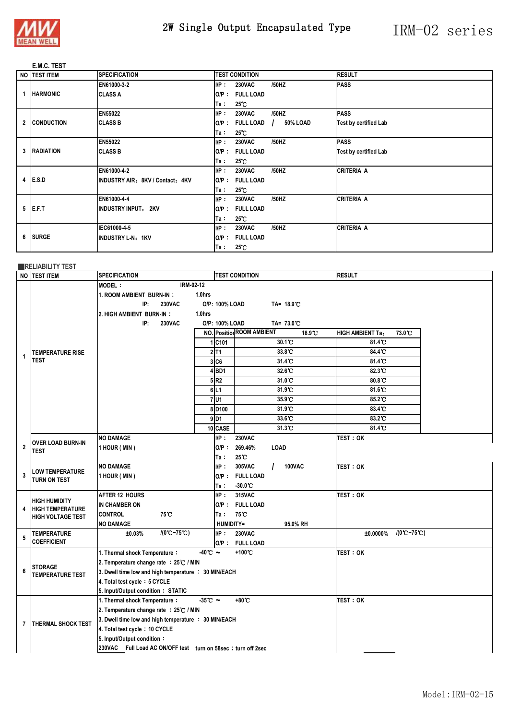

### 2W Single Output Encapsulated Type IRM-02 series

### **E.M.C. TEST**

|  | NO <b>ITEST ITEM</b> | <b>SPECIFICATION</b>             |         | <b>TEST CONDITION</b> |          | <b>RESULT</b>                |
|--|----------------------|----------------------------------|---------|-----------------------|----------|------------------------------|
|  |                      | EN61000-3-2                      | $I/P$ : | <b>230VAC</b>         | /50HZ    | <b>PASS</b>                  |
|  | <b>HARMONIC</b>      | <b>CLASS A</b>                   | $O/P$ : | <b>FULL LOAD</b>      |          |                              |
|  |                      |                                  | Ta∶     | $25^{\circ}$ C        |          |                              |
|  |                      | <b>EN55022</b>                   | IP:     | <b>230VAC</b>         | /50HZ    | <b>PASS</b>                  |
|  | 2 CONDUCTION         | <b>CLASS B</b>                   | O/P :   | <b>FULL LOAD</b>      | 50% LOAD | <b>Test by certified Lab</b> |
|  |                      |                                  | Ta ∶    | $25^{\circ}$ C        |          |                              |
|  |                      | <b>EN55022</b>                   | $I/P$ : | <b>230VAC</b>         | /50HZ    | <b>PASS</b>                  |
|  | 3 RADIATION          | <b>CLASS B</b>                   | O/P :   | <b>FULL LOAD</b>      |          | <b>Test by certified Lab</b> |
|  |                      |                                  | Ta :    | $25^{\circ}$ C        |          |                              |
|  |                      | EN61000-4-2                      | IP:     | <b>230VAC</b>         | /50HZ    | <b>CRITERIA A</b>            |
|  | 4 <b>E.S.D</b>       | INDUSTRY AIR: 8KV / Contact: 4KV | $O/P$ : | <b>FULL LOAD</b>      |          |                              |
|  |                      |                                  | Ta:     | $25^{\circ}$ C        |          |                              |
|  |                      | EN61000-4-4                      | $I/P$ : | <b>230VAC</b>         | /50HZ    | <b>CRITERIA A</b>            |
|  | $5$ <b>IE.F.T</b>    | <b>INDUSTRY INPUT: 2KV</b>       | $O/P$ : | <b>FULL LOAD</b>      |          |                              |
|  |                      |                                  | Ta∶     | $25^{\circ}$ C        |          |                              |
|  |                      | IEC61000-4-5                     | UP:     | <b>230VAC</b>         | /50HZ    | <b>CRITERIA A</b>            |
|  | 6 SURGE              | INDUSTRY L-N: 1KV                | O/P :   | <b>FULL LOAD</b>      |          |                              |
|  |                      |                                  | Ta :    | $25^{\circ}$ C        |          |                              |

### ■**RELIABILITY TEST**

|                         | NO TEST ITEM                             | <b>SPECIFICATION</b>                                                    | <b>RESULT</b>      |                                            |                                              |  |  |  |  |  |  |
|-------------------------|------------------------------------------|-------------------------------------------------------------------------|--------------------|--------------------------------------------|----------------------------------------------|--|--|--|--|--|--|
|                         |                                          | IRM-02-12<br><b>MODEL:</b>                                              |                    |                                            |                                              |  |  |  |  |  |  |
|                         |                                          | 1.0hrs<br>1. ROOM AMBIENT BURN-IN:                                      |                    |                                            |                                              |  |  |  |  |  |  |
|                         |                                          | IP:<br><b>230VAC</b><br>O/P: 100% LOAD                                  |                    |                                            |                                              |  |  |  |  |  |  |
|                         |                                          | 2. HIGH AMBIENT BURN-IN:<br>1.0hrs                                      |                    |                                            |                                              |  |  |  |  |  |  |
|                         |                                          | IP:<br><b>230VAC</b><br>O/P: 100% LOAD                                  |                    |                                            |                                              |  |  |  |  |  |  |
|                         |                                          |                                                                         |                    | <b>NO.</b> Position ROOM AMBIENT<br>18.9°C | 73.0°C<br><b>HIGH AMBIENT Ta:</b>            |  |  |  |  |  |  |
|                         |                                          |                                                                         | 1 C101             | $30.1^\circ$                               | 81.4°C                                       |  |  |  |  |  |  |
| 1                       | <b>TEMPERATURE RISE</b>                  |                                                                         | $2$ T <sub>1</sub> | 33.8°C                                     | 84.4°C                                       |  |  |  |  |  |  |
|                         | <b>TEST</b>                              |                                                                         | 3 C6               | 31.4°C                                     | 81.4°C                                       |  |  |  |  |  |  |
|                         |                                          |                                                                         | $4$ BD1            | 32.6°C                                     | 82.3°C                                       |  |  |  |  |  |  |
|                         |                                          |                                                                         | 5R2                | 31.0°C                                     | 80.8°C                                       |  |  |  |  |  |  |
|                         |                                          |                                                                         | 6 L1               | 31.9 C                                     | 81.6°C                                       |  |  |  |  |  |  |
|                         |                                          |                                                                         | 7U1                | 35.9 °C                                    | 85.2°C                                       |  |  |  |  |  |  |
|                         |                                          |                                                                         | 8D <sub>100</sub>  | 31.9°C                                     | 83.4°C                                       |  |  |  |  |  |  |
|                         |                                          |                                                                         | $9$ <sub>D1</sub>  | 33.6°C                                     | 83.2°C                                       |  |  |  |  |  |  |
|                         |                                          |                                                                         | 10 CASE            | 31.3°C                                     | 81.4°C                                       |  |  |  |  |  |  |
|                         | <b>OVER LOAD BURN-IN</b>                 | <b>NO DAMAGE</b>                                                        | $I/P$ :            | <b>230VAC</b>                              | TEST: OK                                     |  |  |  |  |  |  |
| $\overline{\mathbf{2}}$ | TEST                                     | 1 HOUR (MIN)                                                            | $O/P$ :            | 269.46%<br>LOAD                            |                                              |  |  |  |  |  |  |
|                         |                                          |                                                                         | Ta :               | 25℃                                        |                                              |  |  |  |  |  |  |
|                         | <b>LOW TEMPERATURE</b>                   | <b>NO DAMAGE</b>                                                        | UP:                | 305VAC<br>100VAC                           | test : ok                                    |  |  |  |  |  |  |
| 3                       | TURN ON TEST                             | 1 HOUR (MIN)                                                            |                    | O/P: FULL LOAD                             |                                              |  |  |  |  |  |  |
|                         |                                          |                                                                         | Ta :               | $-30.0^{\circ}\mathrm{C}$                  |                                              |  |  |  |  |  |  |
|                         | <b>HIGH HUMIDITY</b>                     | <b>AFTER 12 HOURS</b>                                                   | $I/P$ :            | 315VAC                                     | <b>TEST: OK</b>                              |  |  |  |  |  |  |
| 4                       | <b>HIGH TEMPERATURE</b>                  | IN CHAMBER ON                                                           |                    | O/P: FULL LOAD                             |                                              |  |  |  |  |  |  |
|                         | <b>HIGH VOLTAGE TEST</b>                 | <b>CONTROL</b><br>75°C                                                  | Ta∶                | 75°C                                       |                                              |  |  |  |  |  |  |
|                         |                                          | <b>NO DAMAGE</b>                                                        |                    | <b>HUMIDITY=</b><br>95.0% RH               |                                              |  |  |  |  |  |  |
| 5                       | <b>TEMPERATURE</b><br><b>COEFFICIENT</b> | $/(0^{\circ}C - 75^{\circ}C)$<br>±0.03%                                 | $I/P$ :            | <b>230VAC</b>                              | $/(0^{\circ}C - 75^{\circ}C)$<br>$±0.0000\%$ |  |  |  |  |  |  |
|                         |                                          |                                                                         |                    | O/P: FULL LOAD                             |                                              |  |  |  |  |  |  |
|                         |                                          | $-40^{\circ}$ $\sim$<br>1. Thermal shock Temperature:                   |                    | +100°C                                     | TEST: OK                                     |  |  |  |  |  |  |
| 6                       | <b>STORAGE</b>                           | 2. Temperature change rate : 25℃ / MIN                                  |                    |                                            |                                              |  |  |  |  |  |  |
|                         | <b>TEMPERATURE TEST</b>                  | 3. Dwell time low and high temperature : 30 MIN/EACH                    |                    |                                            |                                              |  |  |  |  |  |  |
|                         |                                          | 4. Total test cycle: 5 CYCLE                                            |                    |                                            |                                              |  |  |  |  |  |  |
|                         |                                          | 5. Input/Output condition: STATIC<br>$-35^{\circ}$ C ~                  |                    | +80°C                                      | TEST: OK                                     |  |  |  |  |  |  |
|                         |                                          | 1. Thermal shock Temperature:<br>2. Temperature change rate : 25℃ / MIN |                    |                                            |                                              |  |  |  |  |  |  |
|                         |                                          | 3. Dwell time low and high temperature : 30 MIN/EACH                    |                    |                                            |                                              |  |  |  |  |  |  |
| 7                       | <b>THERMAL SHOCK TEST</b>                |                                                                         |                    |                                            |                                              |  |  |  |  |  |  |
|                         |                                          | 4. Total test cycle: 10 CYCLE                                           |                    |                                            |                                              |  |  |  |  |  |  |
|                         |                                          | 5. Input/Output condition:                                              |                    |                                            |                                              |  |  |  |  |  |  |
|                         |                                          | 230VAC Full Load AC ON/OFF test turn on 58sec ; turn off 2sec           |                    |                                            |                                              |  |  |  |  |  |  |